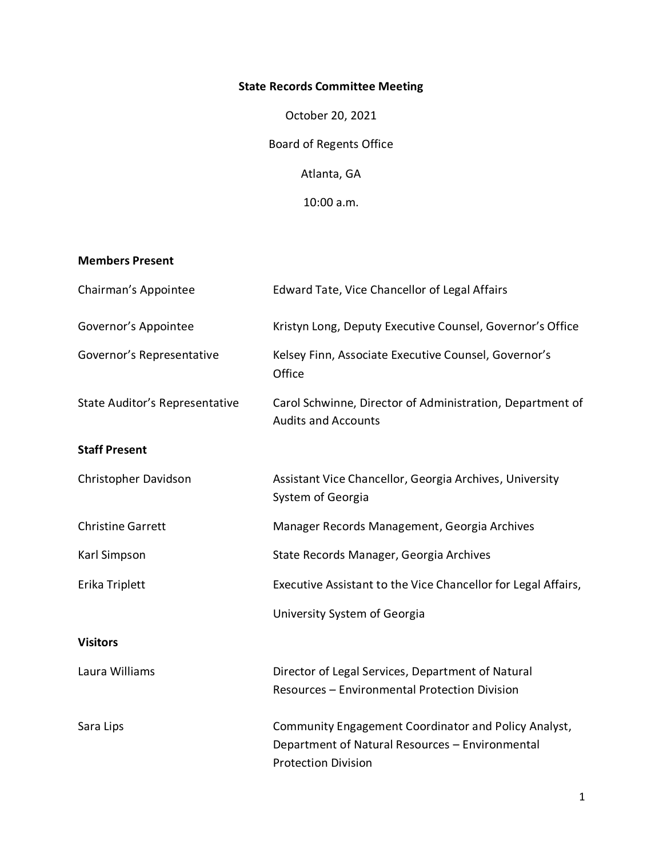# **State Records Committee Meeting**

October 20, 2021 Board of Regents Office Atlanta, GA

10:00 a.m.

### **Members Present**

| Chairman's Appointee           | Edward Tate, Vice Chancellor of Legal Affairs                                                                                         |
|--------------------------------|---------------------------------------------------------------------------------------------------------------------------------------|
| Governor's Appointee           | Kristyn Long, Deputy Executive Counsel, Governor's Office                                                                             |
| Governor's Representative      | Kelsey Finn, Associate Executive Counsel, Governor's<br>Office                                                                        |
| State Auditor's Representative | Carol Schwinne, Director of Administration, Department of<br><b>Audits and Accounts</b>                                               |
| <b>Staff Present</b>           |                                                                                                                                       |
| Christopher Davidson           | Assistant Vice Chancellor, Georgia Archives, University<br>System of Georgia                                                          |
| <b>Christine Garrett</b>       | Manager Records Management, Georgia Archives                                                                                          |
| Karl Simpson                   | State Records Manager, Georgia Archives                                                                                               |
| Erika Triplett                 | Executive Assistant to the Vice Chancellor for Legal Affairs,                                                                         |
|                                | University System of Georgia                                                                                                          |
| <b>Visitors</b>                |                                                                                                                                       |
| Laura Williams                 | Director of Legal Services, Department of Natural<br>Resources - Environmental Protection Division                                    |
| Sara Lips                      | Community Engagement Coordinator and Policy Analyst,<br>Department of Natural Resources - Environmental<br><b>Protection Division</b> |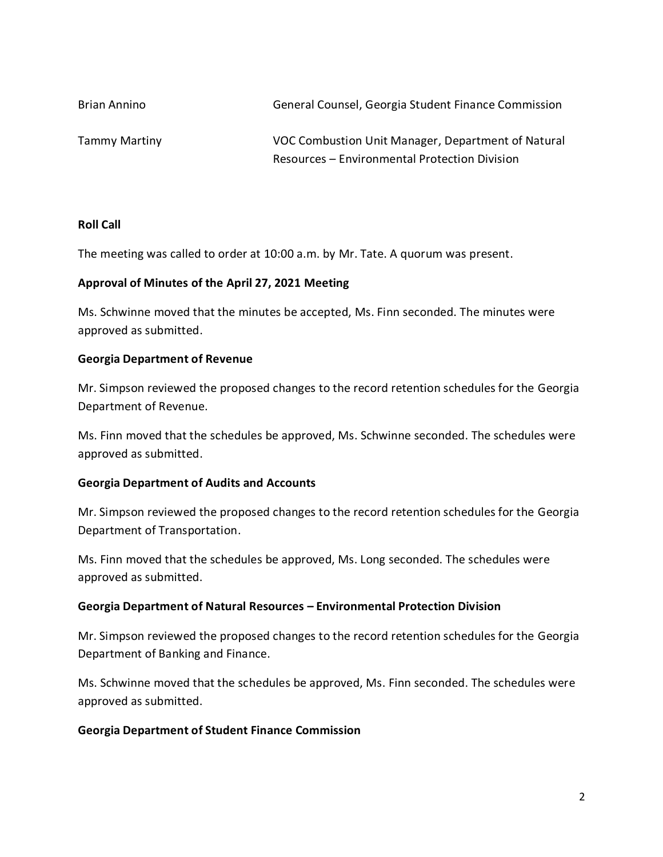| Brian Annino  | General Counsel, Georgia Student Finance Commission |
|---------------|-----------------------------------------------------|
| Tammy Martiny | VOC Combustion Unit Manager, Department of Natural  |
|               | Resources - Environmental Protection Division       |

### **Roll Call**

The meeting was called to order at 10:00 a.m. by Mr. Tate. A quorum was present.

### **Approval of Minutes of the April 27, 2021 Meeting**

Ms. Schwinne moved that the minutes be accepted, Ms. Finn seconded. The minutes were approved as submitted.

### **Georgia Department of Revenue**

Mr. Simpson reviewed the proposed changes to the record retention schedules for the Georgia Department of Revenue.

Ms. Finn moved that the schedules be approved, Ms. Schwinne seconded. The schedules were approved as submitted.

### **Georgia Department of Audits and Accounts**

Mr. Simpson reviewed the proposed changes to the record retention schedules for the Georgia Department of Transportation.

Ms. Finn moved that the schedules be approved, Ms. Long seconded. The schedules were approved as submitted.

### **Georgia Department of Natural Resources – Environmental Protection Division**

Mr. Simpson reviewed the proposed changes to the record retention schedules for the Georgia Department of Banking and Finance.

Ms. Schwinne moved that the schedules be approved, Ms. Finn seconded. The schedules were approved as submitted.

#### **Georgia Department of Student Finance Commission**